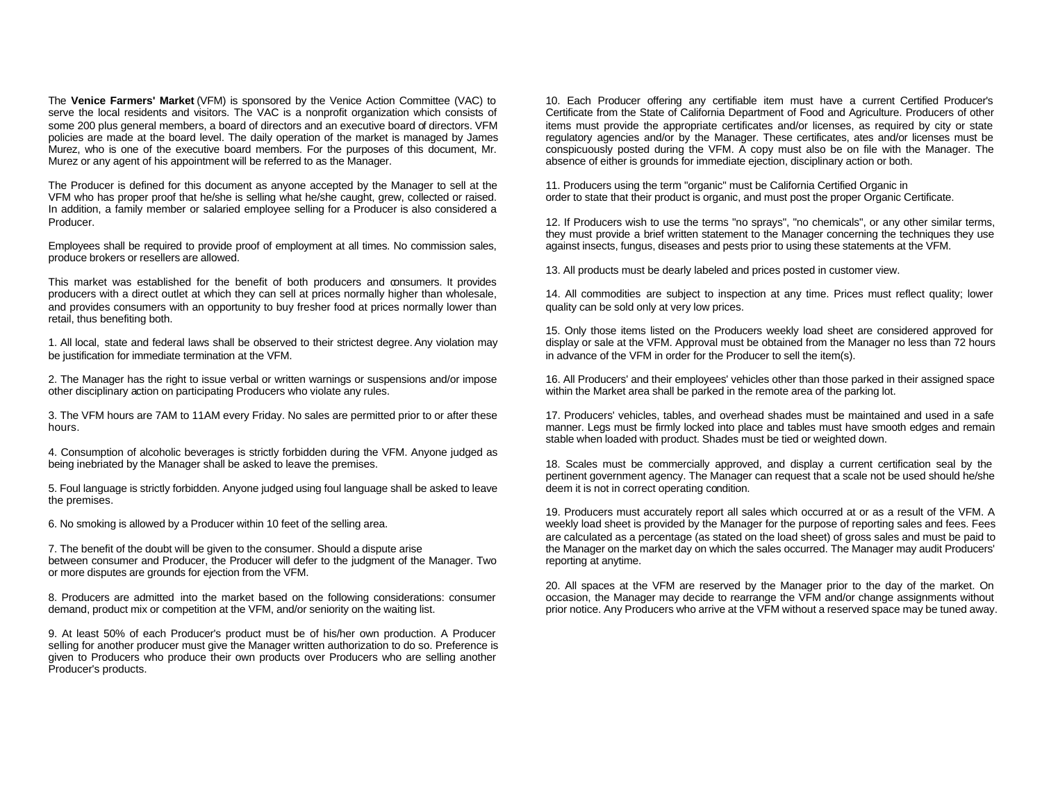The **Venice Farmers' Market** (VFM) is sponsored by the Venice Action Committee (VAC) to serve the local residents and visitors. The VAC is a nonprofit organization which consists of some 200 plus general members, a board of directors and an executive board of directors. VFM policies are made at the board level. The daily operation of the market is managed by James Murez, who is one of the executive board members. For the purposes of this document, Mr. Murez or any agent of his appointment will be referred to as the Manager.

The Producer is defined for this document as anyone accepted by the Manager to sell at the VFM who has proper proof that he/she is selling what he/she caught, grew, collected or raised. In addition, a family member or salaried employee selling for a Producer is also considered a Producer.

Employees shall be required to provide proof of employment at all times. No commission sales, produce brokers or resellers are allowed.

This market was established for the benefit of both producers and consumers. It provides producers with a direct outlet at which they can sell at prices normally higher than wholesale, and provides consumers with an opportunity to buy fresher food at prices normally lower than retail, thus benefiting both.

1. All local, state and federal laws shall be observed to their strictest degree. Any violation may be justification for immediate termination at the VFM.

2. The Manager has the right to issue verbal or written warnings or suspensions and/or impose other disciplinary action on participating Producers who violate any rules.

3. The VFM hours are 7AM to 11AM every Friday. No sales are permitted prior to or after these hours.

4. Consumption of alcoholic beverages is strictly forbidden during the VFM. Anyone judged as being inebriated by the Manager shall be asked to leave the premises.

5. Foul language is strictly forbidden. Anyone judged using foul language shall be asked to leave the premises.

6. No smoking is allowed by a Producer within 10 feet of the selling area.

7. The benefit of the doubt will be given to the consumer. Should a dispute arise between consumer and Producer, the Producer will defer to the judgment of the Manager. Two or more disputes are grounds for ejection from the VFM.

8. Producers are admitted into the market based on the following considerations: consumer demand, product mix or competition at the VFM, and/or seniority on the waiting list.

9. At least 50% of each Producer's product must be of his/her own production. A Producer selling for another producer must give the Manager written authorization to do so. Preference is given to Producers who produce their own products over Producers who are selling another Producer's products.

10. Each Producer offering any certifiable item must have a current Certified Producer's Certificate from the State of California Department of Food and Agriculture. Producers of other items must provide the appropriate certificates and/or licenses, as required by city or state regulatory agencies and/or by the Manager. These certificates, ates and/or licenses must be conspicuously posted during the VFM. A copy must also be on file with the Manager. The absence of either is grounds for immediate ejection, disciplinary action or both.

11. Producers using the term "organic" must be California Certified Organic in order to state that their product is organic, and must post the proper Organic Certificate.

12. If Producers wish to use the terms "no sprays", "no chemicals", or any other similar terms, they must provide a brief written statement to the Manager concerning the techniques they use against insects, fungus, diseases and pests prior to using these statements at the VFM.

13. All products must be dearly labeled and prices posted in customer view.

14. All commodities are subject to inspection at any time. Prices must reflect quality; lower quality can be sold only at very low prices.

15. Only those items listed on the Producers weekly load sheet are considered approved for display or sale at the VFM. Approval must be obtained from the Manager no less than 72 hours in advance of the VFM in order for the Producer to sell the item(s).

16. All Producers' and their employees' vehicles other than those parked in their assigned space within the Market area shall be parked in the remote area of the parking lot.

17. Producers' vehicles, tables, and overhead shades must be maintained and used in a safe manner. Legs must be firmly locked into place and tables must have smooth edges and remain stable when loaded with product. Shades must be tied or weighted down.

18. Scales must be commercially approved, and display a current certification seal by the pertinent government agency. The Manager can request that a scale not be used should he/she deem it is not in correct operating condition.

19. Producers must accurately report all sales which occurred at or as a result of the VFM. A weekly load sheet is provided by the Manager for the purpose of reporting sales and fees. Fees are calculated as a percentage (as stated on the load sheet) of gross sales and must be paid to the Manager on the market day on which the sales occurred. The Manager may audit Producers' reporting at anytime.

20. All spaces at the VFM are reserved by the Manager prior to the day of the market. On occasion, the Manager may decide to rearrange the VFM and/or change assignments without prior notice. Any Producers who arrive at the VFM without a reserved space may be tuned away.